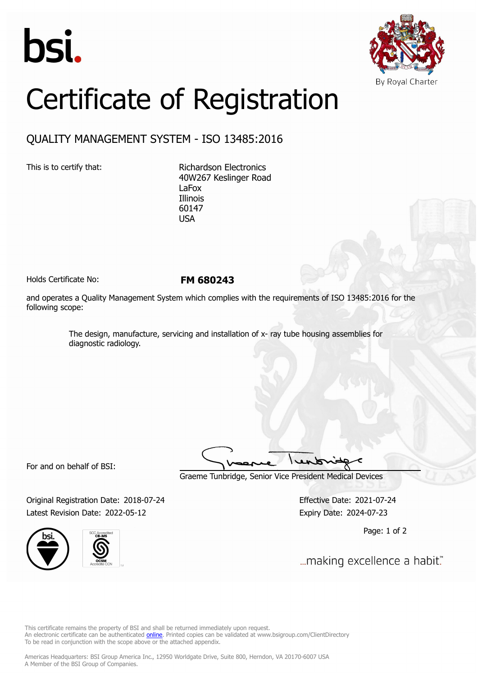



## Certificate of Registration

## QUALITY MANAGEMENT SYSTEM - ISO 13485:2016

This is to certify that: Richardson Electronics 40W267 Keslinger Road LaFox Illinois 60147 USA

Holds Certificate No: **FM 680243**

and operates a Quality Management System which complies with the requirements of ISO 13485:2016 for the following scope:

> The design, manufacture, servicing and installation of x- ray tube housing assemblies for diagnostic radiology.

For and on behalf of BSI:

Graeme Tunbridge, Senior Vice President Medical Devices

Original Registration Date: 2018-07-24 Effective Date: 2021-07-24 Latest Revision Date: 2022-05-12 Expiry Date: 2024-07-23





Page: 1 of 2

... making excellence a habit."

This certificate remains the property of BSI and shall be returned immediately upon request. An electronic certificate can be authenticated *[online](https://pgplus.bsigroup.com/CertificateValidation/CertificateValidator.aspx?CertificateNumber=FM+680243&ReIssueDate=12%2f05%2f2022&Template=inc)*. Printed copies can be validated at www.bsigroup.com/ClientDirectory To be read in conjunction with the scope above or the attached appendix.

Americas Headquarters: BSI Group America Inc., 12950 Worldgate Drive, Suite 800, Herndon, VA 20170-6007 USA A Member of the BSI Group of Companies.